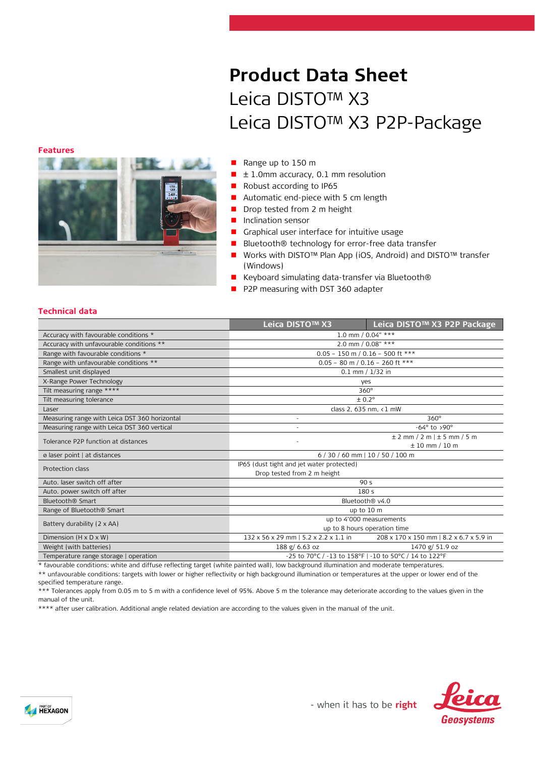# **Product Data Sheet** Leica DISTO™ X3 Leica DISTO™ X3 P2P-Package

**Features**



#### Range up to 150 m

- $\blacksquare$   $\pm$  1.0mm accuracy, 0.1 mm resolution
- Robust according to IP65
- Automatic end-piece with 5 cm length
- Drop tested from 2 m height
- **Inclination sensor**
- Graphical user interface for intuitive usage
- Bluetooth® technology for error-free data transfer
- Works with DISTO<sup>™</sup> Plan App (iOS, Android) and DISTO™ transfer (Windows)
- Keyboard simulating data-transfer via Bluetooth®
- P2P measuring with DST 360 adapter

## **Technical data**

|                                               | Leica DISTO™ X3                                        | Leica DISTO™ X3 P2P Package             |  |
|-----------------------------------------------|--------------------------------------------------------|-----------------------------------------|--|
| Accuracy with favourable conditions *         | 1.0 mm / $0.04"$ ***                                   |                                         |  |
| Accuracy with unfavourable conditions **      | 2.0 mm / 0.08" ***                                     |                                         |  |
| Range with favourable conditions *            | $0.05 - 150$ m / $0.16 - 500$ ft ***                   |                                         |  |
| Range with unfavourable conditions **         | $0.05 - 80$ m / 0.16 - 260 ft ***                      |                                         |  |
| Smallest unit displayed                       | $0.1$ mm $/ 1/32$ in                                   |                                         |  |
| X-Range Power Technology                      | yes                                                    |                                         |  |
| Tilt measuring range ****                     | $360^\circ$                                            |                                         |  |
| Tilt measuring tolerance                      | ± 0.2°                                                 |                                         |  |
| Laser                                         | class 2, 635 nm, <1 mW                                 |                                         |  |
| Measuring range with Leica DST 360 horizontal | $360^\circ$<br>$\overline{\phantom{a}}$                |                                         |  |
| Measuring range with Leica DST 360 vertical   | $-64^\circ$ to >90 $^\circ$                            |                                         |  |
| Tolerance P2P function at distances           |                                                        | ± 2 mm / 2 m   ± 5 mm / 5 m             |  |
|                                               | $± 10$ mm $/10$ m                                      |                                         |  |
| ø laser point   at distances                  | $6/30/60$ mm   10 / 50 / 100 m                         |                                         |  |
| Protection class                              | IP65 (dust tight and jet water protected)              |                                         |  |
|                                               | Drop tested from 2 m height                            |                                         |  |
| Auto, laser switch off after                  | 90 <sub>5</sub>                                        |                                         |  |
| Auto. power switch off after                  | 180 <sub>5</sub>                                       |                                         |  |
| Bluetooth® Smart                              | Bluetooth® v4.0                                        |                                         |  |
| Range of Bluetooth <sup>®</sup> Smart         | up to 10 m                                             |                                         |  |
| Battery durability (2 x AA)                   | up to 4'000 measurements                               |                                         |  |
|                                               | up to 8 hours operation time                           |                                         |  |
| Dimension $(H \times D \times W)$             | 132 x 56 x 29 mm   5.2 x 2.2 x 1.1 in                  | 208 x 170 x 150 mm   8.2 x 6.7 x 5.9 in |  |
| Weight (with batteries)                       | 188 g/ 6.63 oz                                         | 1470 g/ 51.9 oz                         |  |
| Temperature range storage   operation         | -25 to 70°C / -13 to 158°F   -10 to 50°C / 14 to 122°F |                                         |  |

\* favourable conditions: white and diffuse reflecting target (white painted wall), low background illumination and moderate temperatures. \*\* unfavourable conditions: targets with lower or higher reflectivity or high background illumination or temperatures at the upper or lower end of the specified temperature range.

\*\*\* Tolerances apply from 0.05 m to 5 m with a confidence level of 95%. Above 5 m the tolerance may deteriorate according to the values given in the manual of the unit.

\*\*\*\* after user calibration. Additional angle related deviation are according to the values given in the manual of the unit.